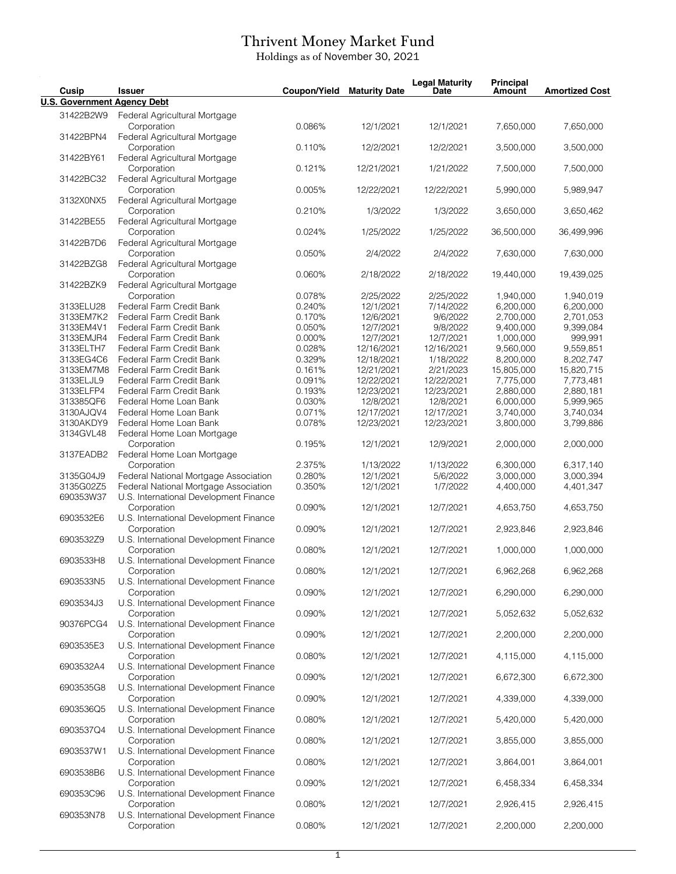## Thrivent Money Market Fund

Holdings as of November 30, 2021

| Cusip                              | <b>Issuer</b>                                         | Coupon/Yield     | <b>Maturity Date</b>    | <b>Legal Maturity</b><br>Date | <b>Principal</b><br>Amount | <b>Amortized Cost</b>  |
|------------------------------------|-------------------------------------------------------|------------------|-------------------------|-------------------------------|----------------------------|------------------------|
| <b>U.S. Government Agency Debt</b> |                                                       |                  |                         |                               |                            |                        |
| 31422B2W9                          | Federal Agricultural Mortgage                         |                  |                         |                               |                            |                        |
|                                    | Corporation                                           | 0.086%           | 12/1/2021               | 12/1/2021                     | 7,650,000                  | 7,650,000              |
| 31422BPN4                          | Federal Agricultural Mortgage                         |                  |                         |                               |                            |                        |
|                                    | Corporation                                           | 0.110%           | 12/2/2021               | 12/2/2021                     | 3,500,000                  | 3,500,000              |
| 31422BY61                          | Federal Agricultural Mortgage                         |                  |                         |                               |                            |                        |
|                                    | Corporation                                           | 0.121%           | 12/21/2021              | 1/21/2022                     | 7,500,000                  | 7,500,000              |
| 31422BC32                          | Federal Agricultural Mortgage<br>Corporation          | 0.005%           | 12/22/2021              | 12/22/2021                    | 5,990,000                  | 5,989,947              |
| 3132X0NX5                          | Federal Agricultural Mortgage                         |                  |                         |                               |                            |                        |
|                                    | Corporation                                           | 0.210%           | 1/3/2022                | 1/3/2022                      | 3,650,000                  | 3,650,462              |
| 31422BE55                          | Federal Agricultural Mortgage                         |                  |                         |                               |                            |                        |
|                                    | Corporation                                           | 0.024%           | 1/25/2022               | 1/25/2022                     | 36,500,000                 | 36,499,996             |
| 31422B7D6                          | Federal Agricultural Mortgage                         |                  |                         |                               |                            |                        |
|                                    | Corporation                                           | 0.050%           | 2/4/2022                | 2/4/2022                      | 7,630,000                  | 7,630,000              |
| 31422BZG8                          | Federal Agricultural Mortgage<br>Corporation          | 0.060%           | 2/18/2022               | 2/18/2022                     | 19,440,000                 | 19,439,025             |
| 31422BZK9                          | Federal Agricultural Mortgage                         |                  |                         |                               |                            |                        |
|                                    | Corporation                                           | 0.078%           | 2/25/2022               | 2/25/2022                     | 1,940,000                  | 1,940,019              |
| 3133ELU28                          | Federal Farm Credit Bank                              | 0.240%           | 12/1/2021               | 7/14/2022                     | 6,200,000                  | 6,200,000              |
| 3133EM7K2                          | Federal Farm Credit Bank                              | 0.170%           | 12/6/2021               | 9/6/2022                      | 2,700,000                  | 2,701,053              |
| 3133EM4V1                          | Federal Farm Credit Bank                              | 0.050%           | 12/7/2021               | 9/8/2022                      | 9,400,000                  | 9,399,084              |
| 3133EMJR4                          | Federal Farm Credit Bank                              | 0.000%           | 12/7/2021               | 12/7/2021                     | 1,000,000                  | 999,991                |
| 3133ELTH7                          | Federal Farm Credit Bank                              | 0.028%           | 12/16/2021              | 12/16/2021                    | 9,560,000                  | 9,559,851              |
| 3133EG4C6                          | Federal Farm Credit Bank                              | 0.329%           | 12/18/2021              | 1/18/2022                     | 8,200,000                  | 8,202,747              |
| 3133EM7M8                          | Federal Farm Credit Bank                              | 0.161%           | 12/21/2021              | 2/21/2023                     | 15,805,000                 | 15,820,715             |
| 3133ELJL9                          | Federal Farm Credit Bank                              | 0.091%           | 12/22/2021              | 12/22/2021                    | 7,775,000                  | 7,773,481              |
| 3133ELFP4                          | Federal Farm Credit Bank                              | 0.193%           | 12/23/2021              | 12/23/2021                    | 2,880,000                  | 2,880,181              |
| 313385QF6<br>3130AJQV4             | Federal Home Loan Bank<br>Federal Home Loan Bank      | 0.030%<br>0.071% | 12/8/2021<br>12/17/2021 | 12/8/2021<br>12/17/2021       | 6,000,000<br>3,740,000     | 5,999,965<br>3,740,034 |
| 3130AKDY9                          | Federal Home Loan Bank                                | 0.078%           | 12/23/2021              | 12/23/2021                    | 3,800,000                  | 3,799,886              |
| 3134GVL48                          | Federal Home Loan Mortgage                            |                  |                         |                               |                            |                        |
|                                    | Corporation                                           | 0.195%           | 12/1/2021               | 12/9/2021                     | 2,000,000                  | 2,000,000              |
| 3137EADB2                          | Federal Home Loan Mortgage                            |                  |                         |                               |                            |                        |
|                                    | Corporation                                           | 2.375%           | 1/13/2022               | 1/13/2022                     | 6,300,000                  | 6,317,140              |
| 3135G04J9                          | Federal National Mortgage Association                 | 0.280%           | 12/1/2021               | 5/6/2022                      | 3,000,000                  | 3,000,394              |
| 3135G02Z5                          | Federal National Mortgage Association                 | 0.350%           | 12/1/2021               | 1/7/2022                      | 4,400,000                  | 4,401,347              |
| 690353W37                          | U.S. International Development Finance                |                  |                         |                               |                            |                        |
|                                    | Corporation                                           | 0.090%           | 12/1/2021               | 12/7/2021                     | 4,653,750                  | 4,653,750              |
| 6903532E6                          | U.S. International Development Finance<br>Corporation | 0.090%           | 12/1/2021               | 12/7/2021                     | 2,923,846                  | 2,923,846              |
| 6903532Z9                          | U.S. International Development Finance                |                  |                         |                               |                            |                        |
|                                    | Corporation                                           | 0.080%           | 12/1/2021               | 12/7/2021                     | 1,000,000                  | 1,000,000              |
| 6903533H8                          | U.S. International Development Finance                |                  |                         |                               |                            |                        |
|                                    | Corporation                                           | 0.080%           | 12/1/2021               | 12/7/2021                     | 6,962,268                  | 6,962,268              |
| 6903533N5                          | U.S. International Development Finance                |                  |                         |                               |                            |                        |
|                                    | Corporation                                           | 0.090%           | 12/1/2021               | 12/7/2021                     | 6,290,000                  | 6,290,000              |
| 6903534J3                          | U.S. International Development Finance                |                  |                         |                               |                            |                        |
|                                    | Corporation                                           | 0.090%           | 12/1/2021               | 12/7/2021                     | 5,052,632                  | 5,052,632              |
| 90376PCG4                          | U.S. International Development Finance                |                  |                         |                               |                            |                        |
| 6903535E3                          | Corporation<br>U.S. International Development Finance | 0.090%           | 12/1/2021               | 12/7/2021                     | 2,200,000                  | 2,200,000              |
|                                    | Corporation                                           | 0.080%           | 12/1/2021               | 12/7/2021                     | 4,115,000                  | 4,115,000              |
| 6903532A4                          | U.S. International Development Finance                |                  |                         |                               |                            |                        |
|                                    | Corporation                                           | 0.090%           | 12/1/2021               | 12/7/2021                     | 6,672,300                  | 6,672,300              |
| 6903535G8                          | U.S. International Development Finance                |                  |                         |                               |                            |                        |
|                                    | Corporation                                           | 0.090%           | 12/1/2021               | 12/7/2021                     | 4,339,000                  | 4,339,000              |
| 6903536Q5                          | U.S. International Development Finance                |                  |                         |                               |                            |                        |
|                                    | Corporation                                           | 0.080%           | 12/1/2021               | 12/7/2021                     | 5,420,000                  | 5,420,000              |
| 6903537Q4                          | U.S. International Development Finance                |                  |                         |                               |                            |                        |
| 6903537W1                          | Corporation<br>U.S. International Development Finance | 0.080%           | 12/1/2021               | 12/7/2021                     | 3,855,000                  | 3,855,000              |
|                                    | Corporation                                           | 0.080%           | 12/1/2021               | 12/7/2021                     | 3,864,001                  | 3,864,001              |
| 6903538B6                          | U.S. International Development Finance                |                  |                         |                               |                            |                        |
|                                    | Corporation                                           | 0.090%           | 12/1/2021               | 12/7/2021                     | 6,458,334                  | 6,458,334              |
| 690353C96                          | U.S. International Development Finance                |                  |                         |                               |                            |                        |
|                                    | Corporation                                           | 0.080%           | 12/1/2021               | 12/7/2021                     | 2,926,415                  | 2,926,415              |
| 690353N78                          | U.S. International Development Finance                |                  |                         |                               |                            |                        |
|                                    | Corporation                                           | 0.080%           | 12/1/2021               | 12/7/2021                     | 2,200,000                  | 2,200,000              |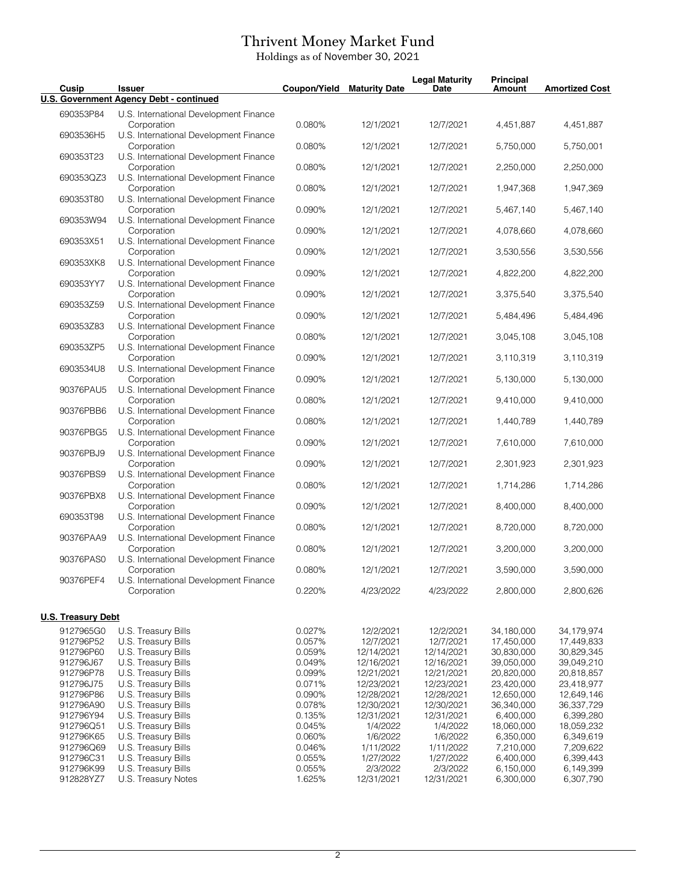## Thrivent Money Market Fund

Holdings as of November 30, 2021

| Cusip                     | <b>Issuer</b>                                         | Coupon/Yield | <b>Maturity Date</b> | <b>Legal Maturity</b><br><b>Date</b> | <b>Principal</b><br><b>Amount</b> | <b>Amortized Cost</b> |
|---------------------------|-------------------------------------------------------|--------------|----------------------|--------------------------------------|-----------------------------------|-----------------------|
|                           | U.S. Government Agency Debt - continued               |              |                      |                                      |                                   |                       |
| 690353P84                 | U.S. International Development Finance<br>Corporation | 0.080%       | 12/1/2021            | 12/7/2021                            | 4,451,887                         | 4,451,887             |
| 6903536H5                 | U.S. International Development Finance<br>Corporation | 0.080%       | 12/1/2021            | 12/7/2021                            | 5,750,000                         | 5,750,001             |
| 690353T23                 | U.S. International Development Finance<br>Corporation | 0.080%       | 12/1/2021            | 12/7/2021                            | 2,250,000                         | 2,250,000             |
| 690353QZ3                 | U.S. International Development Finance<br>Corporation | 0.080%       | 12/1/2021            | 12/7/2021                            | 1,947,368                         | 1,947,369             |
| 690353T80                 | U.S. International Development Finance<br>Corporation | 0.090%       | 12/1/2021            | 12/7/2021                            | 5,467,140                         | 5,467,140             |
| 690353W94                 | U.S. International Development Finance<br>Corporation | 0.090%       | 12/1/2021            | 12/7/2021                            | 4,078,660                         | 4,078,660             |
| 690353X51                 | U.S. International Development Finance                |              |                      |                                      |                                   |                       |
| 690353XK8                 | Corporation<br>U.S. International Development Finance | 0.090%       | 12/1/2021            | 12/7/2021                            | 3,530,556                         | 3,530,556             |
| 690353YY7                 | Corporation<br>U.S. International Development Finance | 0.090%       | 12/1/2021            | 12/7/2021                            | 4,822,200                         | 4,822,200             |
| 690353Z59                 | Corporation<br>U.S. International Development Finance | 0.090%       | 12/1/2021            | 12/7/2021                            | 3,375,540                         | 3,375,540             |
| 690353Z83                 | Corporation<br>U.S. International Development Finance | 0.090%       | 12/1/2021            | 12/7/2021                            | 5,484,496                         | 5,484,496             |
| 690353ZP5                 | Corporation<br>U.S. International Development Finance | 0.080%       | 12/1/2021            | 12/7/2021                            | 3,045,108                         | 3,045,108             |
| 6903534U8                 | Corporation<br>U.S. International Development Finance | 0.090%       | 12/1/2021            | 12/7/2021                            | 3,110,319                         | 3,110,319             |
| 90376PAU5                 | Corporation<br>U.S. International Development Finance | 0.090%       | 12/1/2021            | 12/7/2021                            | 5,130,000                         | 5,130,000             |
| 90376PBB6                 | Corporation                                           | 0.080%       | 12/1/2021            | 12/7/2021                            | 9,410,000                         | 9,410,000             |
|                           | U.S. International Development Finance<br>Corporation | 0.080%       | 12/1/2021            | 12/7/2021                            | 1,440,789                         | 1,440,789             |
| 90376PBG5                 | U.S. International Development Finance<br>Corporation | 0.090%       | 12/1/2021            | 12/7/2021                            | 7,610,000                         | 7,610,000             |
| 90376PBJ9                 | U.S. International Development Finance<br>Corporation | 0.090%       | 12/1/2021            | 12/7/2021                            | 2,301,923                         | 2,301,923             |
| 90376PBS9                 | U.S. International Development Finance<br>Corporation | 0.080%       | 12/1/2021            | 12/7/2021                            | 1,714,286                         | 1,714,286             |
| 90376PBX8                 | U.S. International Development Finance<br>Corporation | 0.090%       | 12/1/2021            | 12/7/2021                            | 8,400,000                         | 8,400,000             |
| 690353T98                 | U.S. International Development Finance<br>Corporation | 0.080%       | 12/1/2021            | 12/7/2021                            | 8,720,000                         | 8,720,000             |
| 90376PAA9                 | U.S. International Development Finance<br>Corporation | 0.080%       | 12/1/2021            | 12/7/2021                            | 3,200,000                         | 3,200,000             |
| 90376PAS0                 | U.S. International Development Finance<br>Corporation | 0.080%       | 12/1/2021            | 12/7/2021                            | 3,590,000                         | 3,590,000             |
| 90376PEF4                 | U.S. International Development Finance<br>Corporation | 0.220%       | 4/23/2022            | 4/23/2022                            | 2,800,000                         | 2,800,626             |
|                           |                                                       |              |                      |                                      |                                   |                       |
| <b>U.S. Treasury Debt</b> |                                                       |              |                      |                                      |                                   |                       |
| 9127965G0                 | U.S. Treasury Bills                                   | 0.027%       | 12/2/2021            | 12/2/2021                            | 34,180,000                        | 34,179,974            |
| 912796P52                 | U.S. Treasury Bills                                   | 0.057%       | 12/7/2021            | 12/7/2021                            | 17,450,000                        | 17,449,833            |
| 912796P60                 | U.S. Treasury Bills                                   | 0.059%       | 12/14/2021           | 12/14/2021                           | 30,830,000                        | 30,829,345            |
| 912796J67                 | U.S. Treasury Bills                                   | 0.049%       | 12/16/2021           | 12/16/2021                           | 39,050,000                        | 39,049,210            |
|                           |                                                       |              |                      |                                      |                                   |                       |
| 912796P78                 | U.S. Treasury Bills                                   | 0.099%       | 12/21/2021           | 12/21/2021                           | 20,820,000                        | 20,818,857            |
| 912796J75                 | U.S. Treasury Bills                                   | 0.071%       | 12/23/2021           | 12/23/2021                           | 23,420,000                        | 23,418,977            |
| 912796P86                 | U.S. Treasury Bills                                   | 0.090%       | 12/28/2021           | 12/28/2021                           | 12,650,000                        | 12,649,146            |
| 912796A90                 | U.S. Treasury Bills                                   | 0.078%       | 12/30/2021           | 12/30/2021                           | 36,340,000                        | 36,337,729            |
|                           |                                                       |              |                      |                                      |                                   |                       |
| 912796Y94                 | U.S. Treasury Bills                                   | 0.135%       | 12/31/2021           | 12/31/2021                           | 6,400,000                         | 6,399,280             |
| 912796Q51                 | U.S. Treasury Bills                                   | 0.045%       | 1/4/2022             | 1/4/2022                             | 18,060,000                        | 18,059,232            |
| 912796K65                 | U.S. Treasury Bills                                   | 0.060%       | 1/6/2022             | 1/6/2022                             | 6,350,000                         | 6,349,619             |
| 912796Q69                 | U.S. Treasury Bills                                   | 0.046%       | 1/11/2022            | 1/11/2022                            | 7,210,000                         | 7,209,622             |
| 912796C31                 | U.S. Treasury Bills                                   | 0.055%       | 1/27/2022            | 1/27/2022                            | 6,400,000                         | 6,399,443             |
| 912796K99                 | U.S. Treasury Bills                                   | 0.055%       | 2/3/2022             | 2/3/2022                             | 6,150,000                         | 6,149,399             |
| 912828YZ7                 | U.S. Treasury Notes                                   | 1.625%       | 12/31/2021           | 12/31/2021                           | 6,300,000                         | 6,307,790             |
|                           |                                                       |              |                      |                                      |                                   |                       |